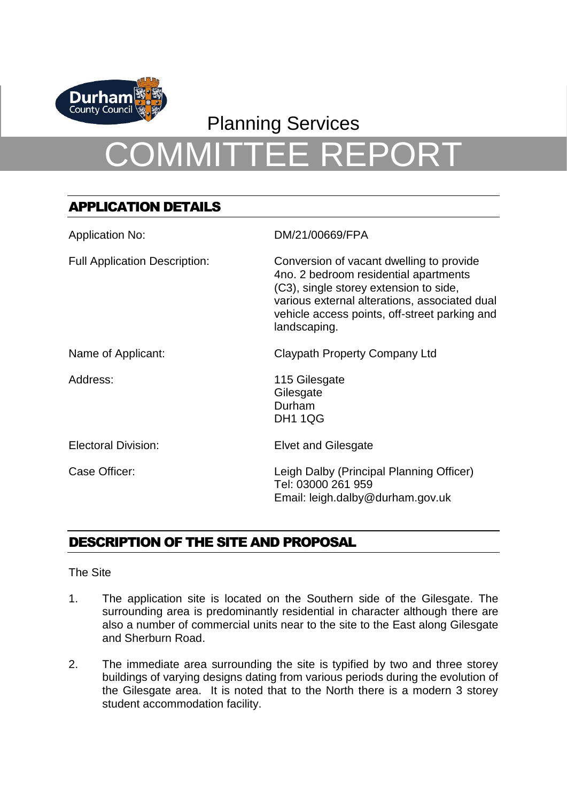

# Planning Services COMMITTEE REPORT

# APPLICATION DETAILS

| <b>Application No:</b>               | DM/21/00669/FPA                                                                                                                                                                                                                               |
|--------------------------------------|-----------------------------------------------------------------------------------------------------------------------------------------------------------------------------------------------------------------------------------------------|
| <b>Full Application Description:</b> | Conversion of vacant dwelling to provide<br>4no. 2 bedroom residential apartments<br>(C3), single storey extension to side,<br>various external alterations, associated dual<br>vehicle access points, off-street parking and<br>landscaping. |
| Name of Applicant:                   | Claypath Property Company Ltd                                                                                                                                                                                                                 |
| Address:                             | 115 Gilesgate<br>Gilesgate<br>Durham<br><b>DH1 1QG</b>                                                                                                                                                                                        |
| <b>Electoral Division:</b>           | <b>Elvet and Gilesgate</b>                                                                                                                                                                                                                    |
| Case Officer:                        | Leigh Dalby (Principal Planning Officer)<br>Tel: 03000 261 959<br>Email: leigh.dalby@durham.gov.uk                                                                                                                                            |

# DESCRIPTION OF THE SITE AND PROPOSAL

The Site

- 1. The application site is located on the Southern side of the Gilesgate. The surrounding area is predominantly residential in character although there are also a number of commercial units near to the site to the East along Gilesgate and Sherburn Road.
- 2. The immediate area surrounding the site is typified by two and three storey buildings of varying designs dating from various periods during the evolution of the Gilesgate area. It is noted that to the North there is a modern 3 storey student accommodation facility.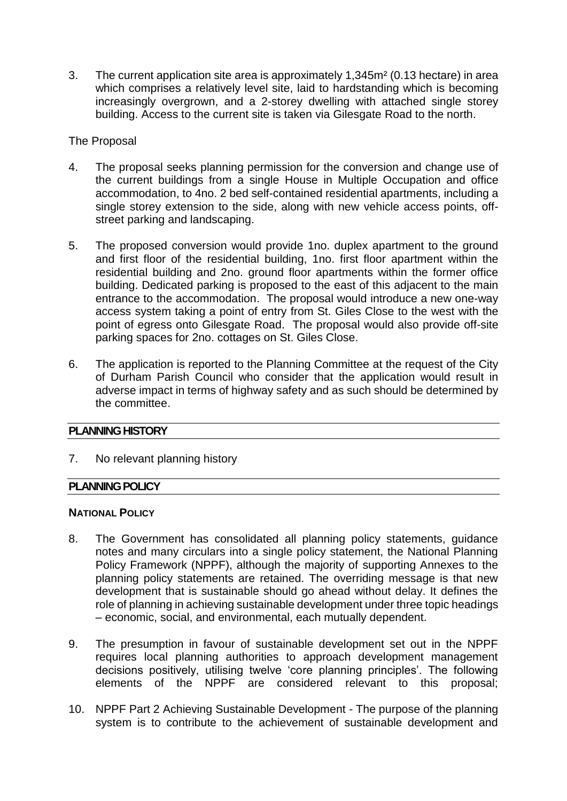3. The current application site area is approximately 1,345m² (0.13 hectare) in area which comprises a relatively level site, laid to hardstanding which is becoming increasingly overgrown, and a 2-storey dwelling with attached single storey building. Access to the current site is taken via Gilesgate Road to the north.

# The Proposal

- 4. The proposal seeks planning permission for the conversion and change use of the current buildings from a single House in Multiple Occupation and office accommodation, to 4no. 2 bed self-contained residential apartments, including a single storey extension to the side, along with new vehicle access points, offstreet parking and landscaping.
- 5. The proposed conversion would provide 1no. duplex apartment to the ground and first floor of the residential building, 1no. first floor apartment within the residential building and 2no. ground floor apartments within the former office building. Dedicated parking is proposed to the east of this adjacent to the main entrance to the accommodation. The proposal would introduce a new one-way access system taking a point of entry from St. Giles Close to the west with the point of egress onto Gilesgate Road. The proposal would also provide off-site parking spaces for 2no. cottages on St. Giles Close.
- 6. The application is reported to the Planning Committee at the request of the City of Durham Parish Council who consider that the application would result in adverse impact in terms of highway safety and as such should be determined by the committee.

# **PLANNING HISTORY**

7. No relevant planning history

# **PLANNING POLICY**

#### **NATIONAL POLICY**

- 8. The Government has consolidated all planning policy statements, guidance notes and many circulars into a single policy statement, the National Planning Policy Framework (NPPF), although the majority of supporting Annexes to the planning policy statements are retained. The overriding message is that new development that is sustainable should go ahead without delay. It defines the role of planning in achieving sustainable development under three topic headings – economic, social, and environmental, each mutually dependent.
- 9. The presumption in favour of sustainable development set out in the NPPF requires local planning authorities to approach development management decisions positively, utilising twelve 'core planning principles'. The following elements of the NPPF are considered relevant to this proposal;
- 10. NPPF Part 2 Achieving Sustainable Development The purpose of the planning system is to contribute to the achievement of sustainable development and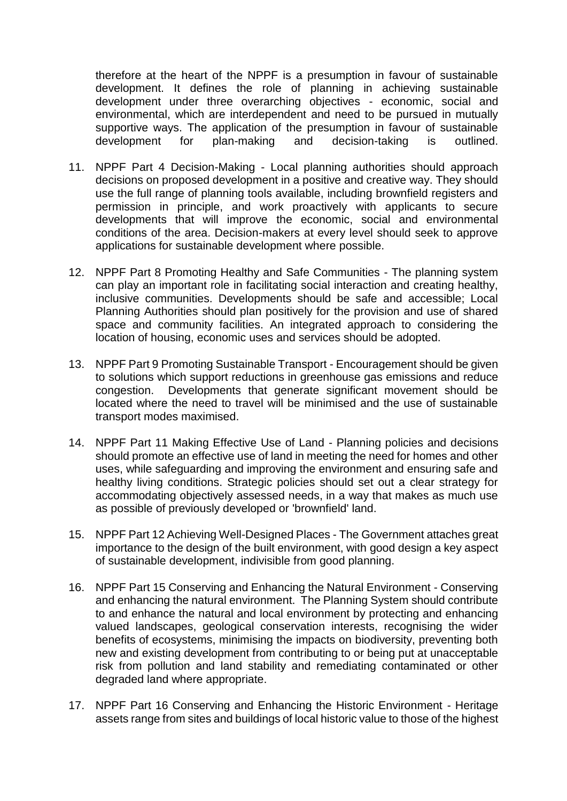therefore at the heart of the NPPF is a presumption in favour of sustainable development. It defines the role of planning in achieving sustainable development under three overarching objectives - economic, social and environmental, which are interdependent and need to be pursued in mutually supportive ways. The application of the presumption in favour of sustainable development for plan-making and decision-taking is outlined.

- 11. NPPF Part 4 Decision-Making Local planning authorities should approach decisions on proposed development in a positive and creative way. They should use the full range of planning tools available, including brownfield registers and permission in principle, and work proactively with applicants to secure developments that will improve the economic, social and environmental conditions of the area. Decision-makers at every level should seek to approve applications for sustainable development where possible.
- 12. NPPF Part 8 Promoting Healthy and Safe Communities The planning system can play an important role in facilitating social interaction and creating healthy, inclusive communities. Developments should be safe and accessible; Local Planning Authorities should plan positively for the provision and use of shared space and community facilities. An integrated approach to considering the location of housing, economic uses and services should be adopted.
- 13. NPPF Part 9 Promoting Sustainable Transport Encouragement should be given to solutions which support reductions in greenhouse gas emissions and reduce congestion. Developments that generate significant movement should be located where the need to travel will be minimised and the use of sustainable transport modes maximised.
- 14. NPPF Part 11 Making Effective Use of Land Planning policies and decisions should promote an effective use of land in meeting the need for homes and other uses, while safeguarding and improving the environment and ensuring safe and healthy living conditions. Strategic policies should set out a clear strategy for accommodating objectively assessed needs, in a way that makes as much use as possible of previously developed or 'brownfield' land.
- 15. NPPF Part 12 Achieving Well-Designed Places The Government attaches great importance to the design of the built environment, with good design a key aspect of sustainable development, indivisible from good planning.
- 16. NPPF Part 15 Conserving and Enhancing the Natural Environment Conserving and enhancing the natural environment. The Planning System should contribute to and enhance the natural and local environment by protecting and enhancing valued landscapes, geological conservation interests, recognising the wider benefits of ecosystems, minimising the impacts on biodiversity, preventing both new and existing development from contributing to or being put at unacceptable risk from pollution and land stability and remediating contaminated or other degraded land where appropriate.
- 17. NPPF Part 16 Conserving and Enhancing the Historic Environment Heritage assets range from sites and buildings of local historic value to those of the highest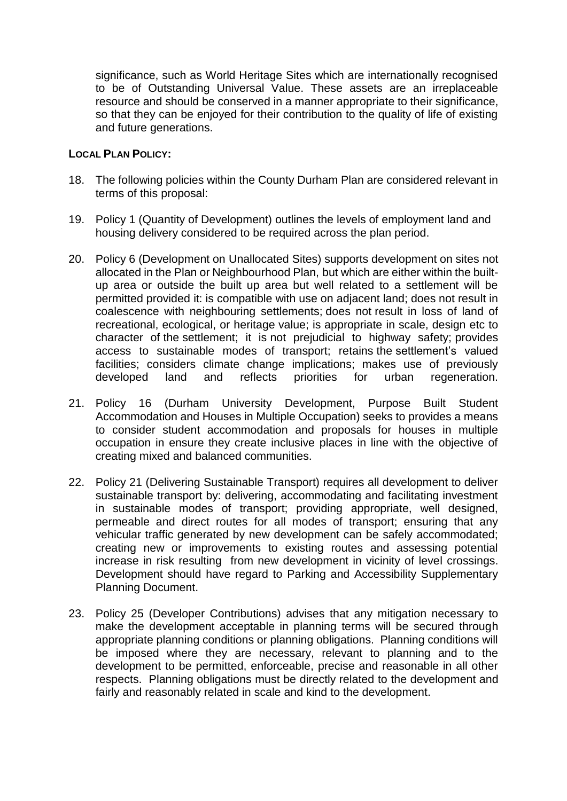significance, such as World Heritage Sites which are internationally recognised to be of Outstanding Universal Value. These assets are an irreplaceable resource and should be conserved in a manner appropriate to their significance, so that they can be enjoyed for their contribution to the quality of life of existing and future generations.

#### **LOCAL PLAN POLICY:**

- 18. The following policies within the County Durham Plan are considered relevant in terms of this proposal:
- 19. Policy 1 (Quantity of Development) outlines the levels of employment land and housing delivery considered to be required across the plan period.
- 20. Policy 6 (Development on Unallocated Sites) supports development on sites not allocated in the Plan or Neighbourhood Plan, but which are either within the builtup area or outside the built up area but well related to a settlement will be permitted provided it: is compatible with use on adjacent land; does not result in coalescence with neighbouring settlements; does not result in loss of land of recreational, ecological, or heritage value; is appropriate in scale, design etc to character of the settlement; it is not prejudicial to highway safety; provides access to sustainable modes of transport; retains the settlement's valued facilities; considers climate change implications; makes use of previously developed land and reflects priorities for urban regeneration.
- 21. Policy 16 (Durham University Development, Purpose Built Student Accommodation and Houses in Multiple Occupation) seeks to provides a means to consider student accommodation and proposals for houses in multiple occupation in ensure they create inclusive places in line with the objective of creating mixed and balanced communities.
- 22. Policy 21 (Delivering Sustainable Transport) requires all development to deliver sustainable transport by: delivering, accommodating and facilitating investment in sustainable modes of transport; providing appropriate, well designed, permeable and direct routes for all modes of transport; ensuring that any vehicular traffic generated by new development can be safely accommodated; creating new or improvements to existing routes and assessing potential increase in risk resulting from new development in vicinity of level crossings. Development should have regard to Parking and Accessibility Supplementary Planning Document.
- 23. Policy 25 (Developer Contributions) advises that any mitigation necessary to make the development acceptable in planning terms will be secured through appropriate planning conditions or planning obligations. Planning conditions will be imposed where they are necessary, relevant to planning and to the development to be permitted, enforceable, precise and reasonable in all other respects. Planning obligations must be directly related to the development and fairly and reasonably related in scale and kind to the development.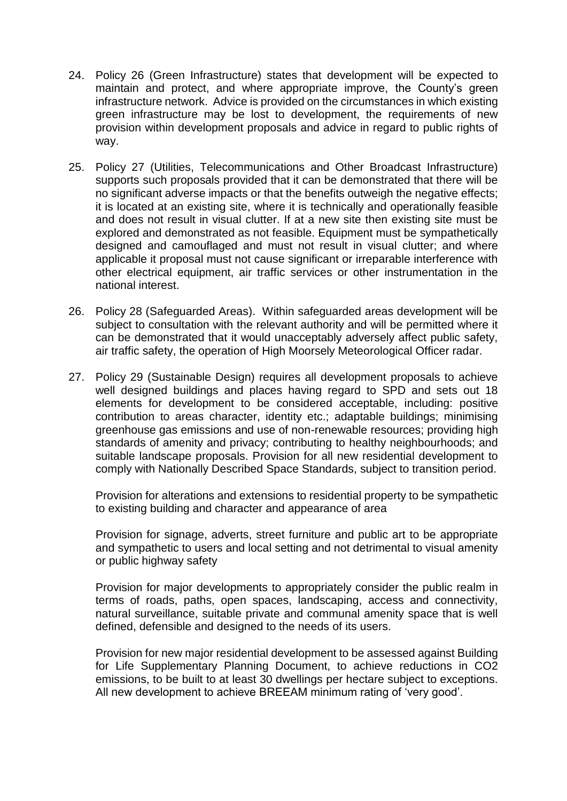- 24. Policy 26 (Green Infrastructure) states that development will be expected to maintain and protect, and where appropriate improve, the County's green infrastructure network. Advice is provided on the circumstances in which existing green infrastructure may be lost to development, the requirements of new provision within development proposals and advice in regard to public rights of way.
- 25. Policy 27 (Utilities, Telecommunications and Other Broadcast Infrastructure) supports such proposals provided that it can be demonstrated that there will be no significant adverse impacts or that the benefits outweigh the negative effects; it is located at an existing site, where it is technically and operationally feasible and does not result in visual clutter. If at a new site then existing site must be explored and demonstrated as not feasible. Equipment must be sympathetically designed and camouflaged and must not result in visual clutter; and where applicable it proposal must not cause significant or irreparable interference with other electrical equipment, air traffic services or other instrumentation in the national interest.
- 26. Policy 28 (Safeguarded Areas). Within safeguarded areas development will be subject to consultation with the relevant authority and will be permitted where it can be demonstrated that it would unacceptably adversely affect public safety, air traffic safety, the operation of High Moorsely Meteorological Officer radar.
- 27. Policy 29 (Sustainable Design) requires all development proposals to achieve well designed buildings and places having regard to SPD and sets out 18 elements for development to be considered acceptable, including: positive contribution to areas character, identity etc.; adaptable buildings; minimising greenhouse gas emissions and use of non-renewable resources; providing high standards of amenity and privacy; contributing to healthy neighbourhoods; and suitable landscape proposals. Provision for all new residential development to comply with Nationally Described Space Standards, subject to transition period.

Provision for alterations and extensions to residential property to be sympathetic to existing building and character and appearance of area

Provision for signage, adverts, street furniture and public art to be appropriate and sympathetic to users and local setting and not detrimental to visual amenity or public highway safety

Provision for major developments to appropriately consider the public realm in terms of roads, paths, open spaces, landscaping, access and connectivity, natural surveillance, suitable private and communal amenity space that is well defined, defensible and designed to the needs of its users.

Provision for new major residential development to be assessed against Building for Life Supplementary Planning Document, to achieve reductions in CO2 emissions, to be built to at least 30 dwellings per hectare subject to exceptions. All new development to achieve BREEAM minimum rating of 'very good'.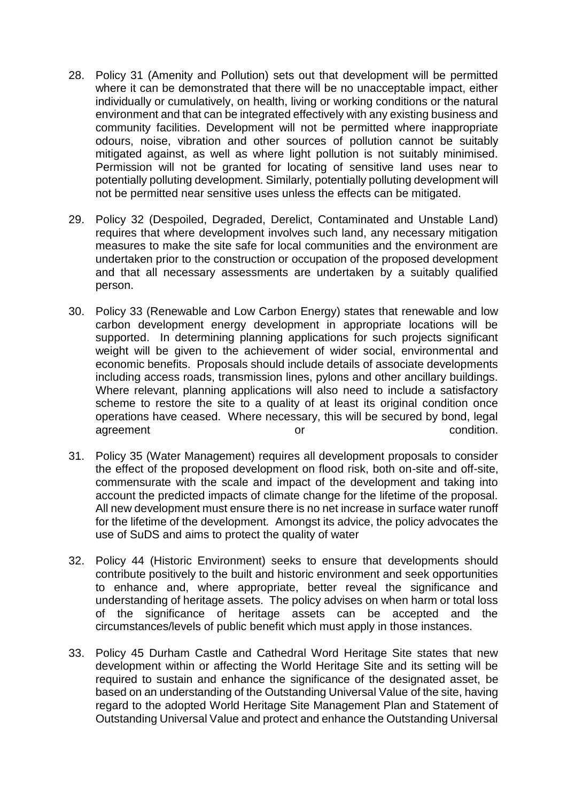- 28. Policy 31 (Amenity and Pollution) sets out that development will be permitted where it can be demonstrated that there will be no unacceptable impact, either individually or cumulatively, on health, living or working conditions or the natural environment and that can be integrated effectively with any existing business and community facilities. Development will not be permitted where inappropriate odours, noise, vibration and other sources of pollution cannot be suitably mitigated against, as well as where light pollution is not suitably minimised. Permission will not be granted for locating of sensitive land uses near to potentially polluting development. Similarly, potentially polluting development will not be permitted near sensitive uses unless the effects can be mitigated.
- 29. Policy 32 (Despoiled, Degraded, Derelict, Contaminated and Unstable Land) requires that where development involves such land, any necessary mitigation measures to make the site safe for local communities and the environment are undertaken prior to the construction or occupation of the proposed development and that all necessary assessments are undertaken by a suitably qualified person.
- 30. Policy 33 (Renewable and Low Carbon Energy) states that renewable and low carbon development energy development in appropriate locations will be supported. In determining planning applications for such projects significant weight will be given to the achievement of wider social, environmental and economic benefits. Proposals should include details of associate developments including access roads, transmission lines, pylons and other ancillary buildings. Where relevant, planning applications will also need to include a satisfactory scheme to restore the site to a quality of at least its original condition once operations have ceased. Where necessary, this will be secured by bond, legal agreement or condition.
- 31. Policy 35 (Water Management) requires all development proposals to consider the effect of the proposed development on flood risk, both on-site and off-site, commensurate with the scale and impact of the development and taking into account the predicted impacts of climate change for the lifetime of the proposal. All new development must ensure there is no net increase in surface water runoff for the lifetime of the development*.* Amongst its advice, the policy advocates the use of SuDS and aims to protect the quality of water
- 32. Policy 44 (Historic Environment) seeks to ensure that developments should contribute positively to the built and historic environment and seek opportunities to enhance and, where appropriate, better reveal the significance and understanding of heritage assets. The policy advises on when harm or total loss of the significance of heritage assets can be accepted and the circumstances/levels of public benefit which must apply in those instances.
- 33. Policy 45 Durham Castle and Cathedral Word Heritage Site states that new development within or affecting the World Heritage Site and its setting will be required to sustain and enhance the significance of the designated asset, be based on an understanding of the Outstanding Universal Value of the site, having regard to the adopted World Heritage Site Management Plan and Statement of Outstanding Universal Value and protect and enhance the Outstanding Universal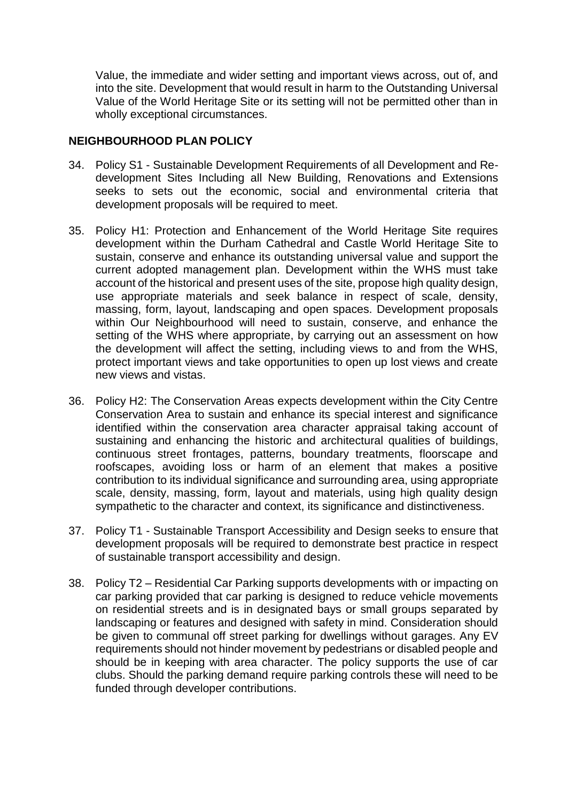Value, the immediate and wider setting and important views across, out of, and into the site. Development that would result in harm to the Outstanding Universal Value of the World Heritage Site or its setting will not be permitted other than in wholly exceptional circumstances.

# **NEIGHBOURHOOD PLAN POLICY**

- 34. Policy S1 Sustainable Development Requirements of all Development and Redevelopment Sites Including all New Building, Renovations and Extensions seeks to sets out the economic, social and environmental criteria that development proposals will be required to meet.
- 35. Policy H1: Protection and Enhancement of the World Heritage Site requires development within the Durham Cathedral and Castle World Heritage Site to sustain, conserve and enhance its outstanding universal value and support the current adopted management plan. Development within the WHS must take account of the historical and present uses of the site, propose high quality design, use appropriate materials and seek balance in respect of scale, density, massing, form, layout, landscaping and open spaces. Development proposals within Our Neighbourhood will need to sustain, conserve, and enhance the setting of the WHS where appropriate, by carrying out an assessment on how the development will affect the setting, including views to and from the WHS, protect important views and take opportunities to open up lost views and create new views and vistas.
- 36. Policy H2: The Conservation Areas expects development within the City Centre Conservation Area to sustain and enhance its special interest and significance identified within the conservation area character appraisal taking account of sustaining and enhancing the historic and architectural qualities of buildings, continuous street frontages, patterns, boundary treatments, floorscape and roofscapes, avoiding loss or harm of an element that makes a positive contribution to its individual significance and surrounding area, using appropriate scale, density, massing, form, layout and materials, using high quality design sympathetic to the character and context, its significance and distinctiveness.
- 37. Policy T1 Sustainable Transport Accessibility and Design seeks to ensure that development proposals will be required to demonstrate best practice in respect of sustainable transport accessibility and design.
- 38. Policy T2 Residential Car Parking supports developments with or impacting on car parking provided that car parking is designed to reduce vehicle movements on residential streets and is in designated bays or small groups separated by landscaping or features and designed with safety in mind. Consideration should be given to communal off street parking for dwellings without garages. Any EV requirements should not hinder movement by pedestrians or disabled people and should be in keeping with area character. The policy supports the use of car clubs. Should the parking demand require parking controls these will need to be funded through developer contributions.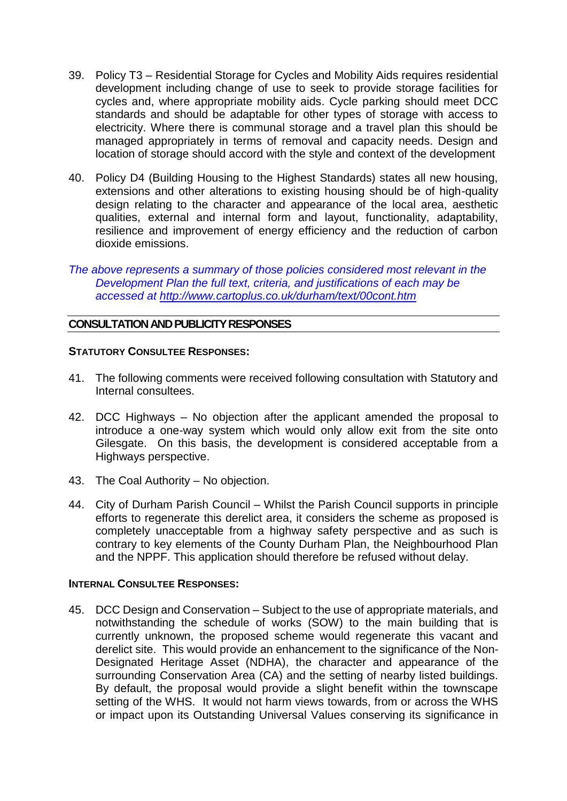- 39. Policy T3 Residential Storage for Cycles and Mobility Aids requires residential development including change of use to seek to provide storage facilities for cycles and, where appropriate mobility aids. Cycle parking should meet DCC standards and should be adaptable for other types of storage with access to electricity. Where there is communal storage and a travel plan this should be managed appropriately in terms of removal and capacity needs. Design and location of storage should accord with the style and context of the development
- 40. Policy D4 (Building Housing to the Highest Standards) states all new housing, extensions and other alterations to existing housing should be of high-quality design relating to the character and appearance of the local area, aesthetic qualities, external and internal form and layout, functionality, adaptability, resilience and improvement of energy efficiency and the reduction of carbon dioxide emissions.
- *The above represents a summary of those policies considered most relevant in the Development Plan the full text, criteria, and justifications of each may be accessed at<http://www.cartoplus.co.uk/durham/text/00cont.htm>*

# **CONSULTATION AND PUBLICITY RESPONSES**

#### **STATUTORY CONSULTEE RESPONSES:**

- 41. The following comments were received following consultation with Statutory and Internal consultees.
- 42. DCC Highways No objection after the applicant amended the proposal to introduce a one-way system which would only allow exit from the site onto Gilesgate. On this basis, the development is considered acceptable from a Highways perspective.
- 43. The Coal Authority No objection.
- 44. City of Durham Parish Council Whilst the Parish Council supports in principle efforts to regenerate this derelict area, it considers the scheme as proposed is completely unacceptable from a highway safety perspective and as such is contrary to key elements of the County Durham Plan, the Neighbourhood Plan and the NPPF. This application should therefore be refused without delay.

#### **INTERNAL CONSULTEE RESPONSES:**

45. DCC Design and Conservation – Subject to the use of appropriate materials, and notwithstanding the schedule of works (SOW) to the main building that is currently unknown, the proposed scheme would regenerate this vacant and derelict site. This would provide an enhancement to the significance of the Non-Designated Heritage Asset (NDHA), the character and appearance of the surrounding Conservation Area (CA) and the setting of nearby listed buildings. By default, the proposal would provide a slight benefit within the townscape setting of the WHS. It would not harm views towards, from or across the WHS or impact upon its Outstanding Universal Values conserving its significance in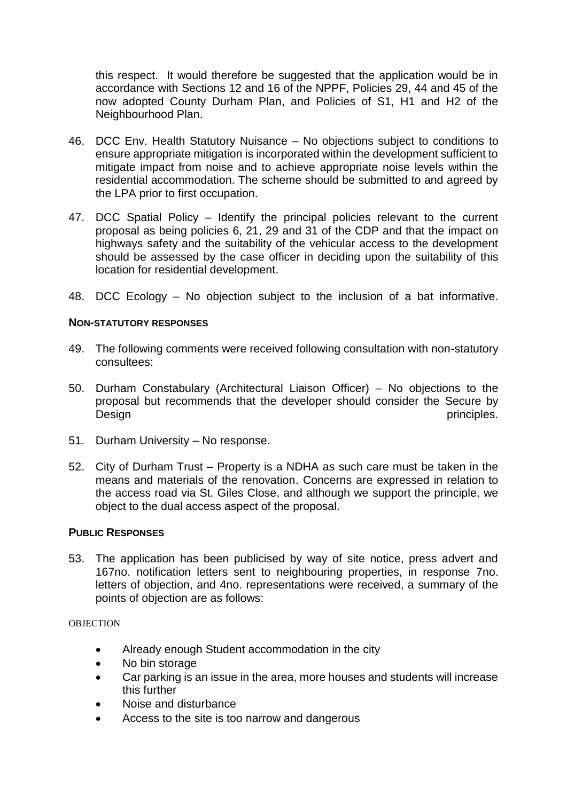this respect. It would therefore be suggested that the application would be in accordance with Sections 12 and 16 of the NPPF, Policies 29, 44 and 45 of the now adopted County Durham Plan, and Policies of S1, H1 and H2 of the Neighbourhood Plan.

- 46. DCC Env. Health Statutory Nuisance No objections subject to conditions to ensure appropriate mitigation is incorporated within the development sufficient to mitigate impact from noise and to achieve appropriate noise levels within the residential accommodation. The scheme should be submitted to and agreed by the LPA prior to first occupation.
- 47. DCC Spatial Policy Identify the principal policies relevant to the current proposal as being policies 6, 21, 29 and 31 of the CDP and that the impact on highways safety and the suitability of the vehicular access to the development should be assessed by the case officer in deciding upon the suitability of this location for residential development.
- 48. DCC Ecology No objection subject to the inclusion of a bat informative.

#### **NON-STATUTORY RESPONSES**

- 49. The following comments were received following consultation with non-statutory consultees:
- 50. Durham Constabulary (Architectural Liaison Officer) No objections to the proposal but recommends that the developer should consider the Secure by Design principles.
- 51. Durham University No response.
- 52. City of Durham Trust Property is a NDHA as such care must be taken in the means and materials of the renovation. Concerns are expressed in relation to the access road via St. Giles Close, and although we support the principle, we object to the dual access aspect of the proposal.

#### **PUBLIC RESPONSES**

53. The application has been publicised by way of site notice, press advert and 167no. notification letters sent to neighbouring properties, in response 7no. letters of objection, and 4no. representations were received, a summary of the points of objection are as follows:

**OBJECTION** 

- Already enough Student accommodation in the city
- No bin storage
- Car parking is an issue in the area, more houses and students will increase this further
- Noise and disturbance
- Access to the site is too narrow and dangerous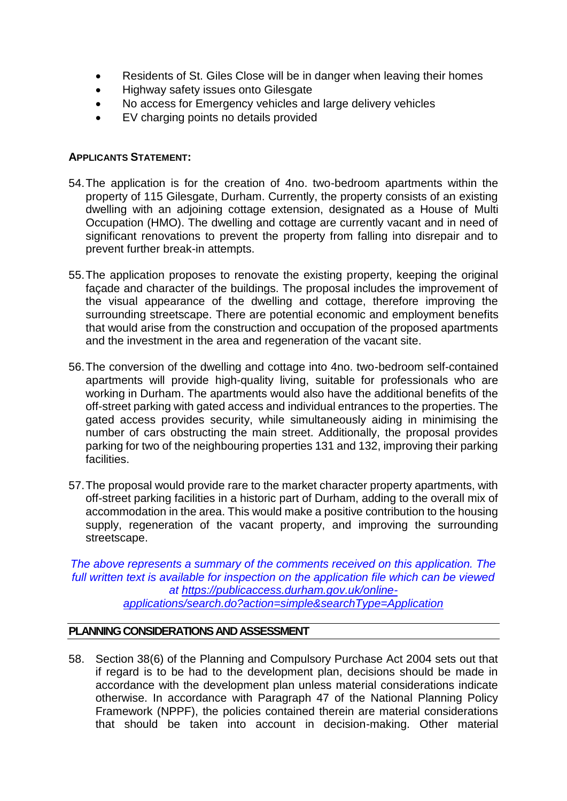- Residents of St. Giles Close will be in danger when leaving their homes
- Highway safety issues onto Gilesgate
- No access for Emergency vehicles and large delivery vehicles
- EV charging points no details provided

# **APPLICANTS STATEMENT:**

- 54.The application is for the creation of 4no. two-bedroom apartments within the property of 115 Gilesgate, Durham. Currently, the property consists of an existing dwelling with an adjoining cottage extension, designated as a House of Multi Occupation (HMO). The dwelling and cottage are currently vacant and in need of significant renovations to prevent the property from falling into disrepair and to prevent further break-in attempts.
- 55.The application proposes to renovate the existing property, keeping the original façade and character of the buildings. The proposal includes the improvement of the visual appearance of the dwelling and cottage, therefore improving the surrounding streetscape. There are potential economic and employment benefits that would arise from the construction and occupation of the proposed apartments and the investment in the area and regeneration of the vacant site.
- 56.The conversion of the dwelling and cottage into 4no. two-bedroom self-contained apartments will provide high-quality living, suitable for professionals who are working in Durham. The apartments would also have the additional benefits of the off-street parking with gated access and individual entrances to the properties. The gated access provides security, while simultaneously aiding in minimising the number of cars obstructing the main street. Additionally, the proposal provides parking for two of the neighbouring properties 131 and 132, improving their parking facilities.
- 57.The proposal would provide rare to the market character property apartments, with off-street parking facilities in a historic part of Durham, adding to the overall mix of accommodation in the area. This would make a positive contribution to the housing supply, regeneration of the vacant property, and improving the surrounding streetscape.

*The above represents a summary of the comments received on this application. The*  full written text is available for inspection on the application file which can be viewed *at [https://publicaccess.durham.gov.uk/online](https://publicaccess.durham.gov.uk/online-applications/search.do?action=simple&searchType=Application)[applications/search.do?action=simple&searchType=Application](https://publicaccess.durham.gov.uk/online-applications/search.do?action=simple&searchType=Application)*

# **PLANNING CONSIDERATIONS AND ASSESSMENT**

58. Section 38(6) of the Planning and Compulsory Purchase Act 2004 sets out that if regard is to be had to the development plan, decisions should be made in accordance with the development plan unless material considerations indicate otherwise. In accordance with Paragraph 47 of the National Planning Policy Framework (NPPF), the policies contained therein are material considerations that should be taken into account in decision-making. Other material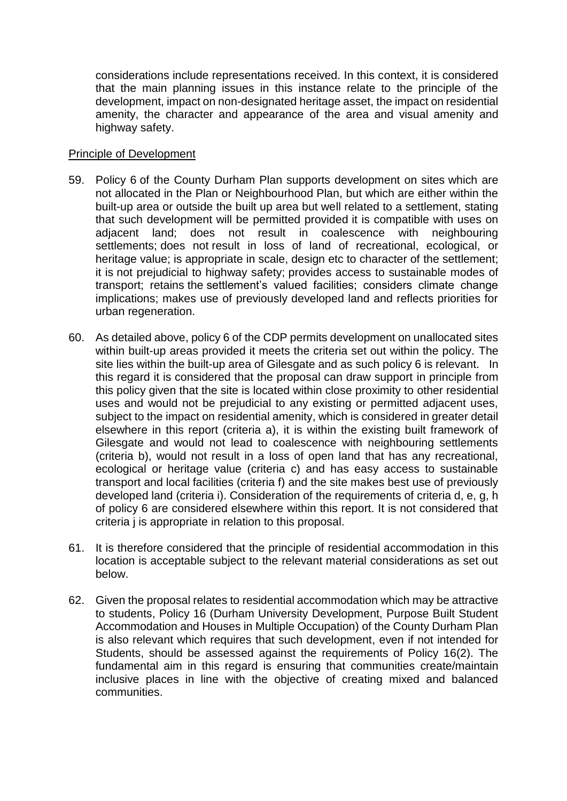considerations include representations received. In this context, it is considered that the main planning issues in this instance relate to the principle of the development, impact on non-designated heritage asset, the impact on residential amenity, the character and appearance of the area and visual amenity and highway safety.

#### Principle of Development

- 59. Policy 6 of the County Durham Plan supports development on sites which are not allocated in the Plan or Neighbourhood Plan, but which are either within the built-up area or outside the built up area but well related to a settlement, stating that such development will be permitted provided it is compatible with uses on adjacent land; does not result in coalescence with neighbouring settlements; does not result in loss of land of recreational, ecological, or heritage value; is appropriate in scale, design etc to character of the settlement; it is not prejudicial to highway safety; provides access to sustainable modes of transport; retains the settlement's valued facilities; considers climate change implications; makes use of previously developed land and reflects priorities for urban regeneration.
- 60. As detailed above, policy 6 of the CDP permits development on unallocated sites within built-up areas provided it meets the criteria set out within the policy. The site lies within the built-up area of Gilesgate and as such policy 6 is relevant. In this regard it is considered that the proposal can draw support in principle from this policy given that the site is located within close proximity to other residential uses and would not be prejudicial to any existing or permitted adjacent uses, subject to the impact on residential amenity, which is considered in greater detail elsewhere in this report (criteria a), it is within the existing built framework of Gilesgate and would not lead to coalescence with neighbouring settlements (criteria b), would not result in a loss of open land that has any recreational, ecological or heritage value (criteria c) and has easy access to sustainable transport and local facilities (criteria f) and the site makes best use of previously developed land (criteria i). Consideration of the requirements of criteria d, e, g, h of policy 6 are considered elsewhere within this report. It is not considered that criteria j is appropriate in relation to this proposal.
- 61. It is therefore considered that the principle of residential accommodation in this location is acceptable subject to the relevant material considerations as set out below.
- 62. Given the proposal relates to residential accommodation which may be attractive to students, Policy 16 (Durham University Development, Purpose Built Student Accommodation and Houses in Multiple Occupation) of the County Durham Plan is also relevant which requires that such development, even if not intended for Students, should be assessed against the requirements of Policy 16(2). The fundamental aim in this regard is ensuring that communities create/maintain inclusive places in line with the objective of creating mixed and balanced communities.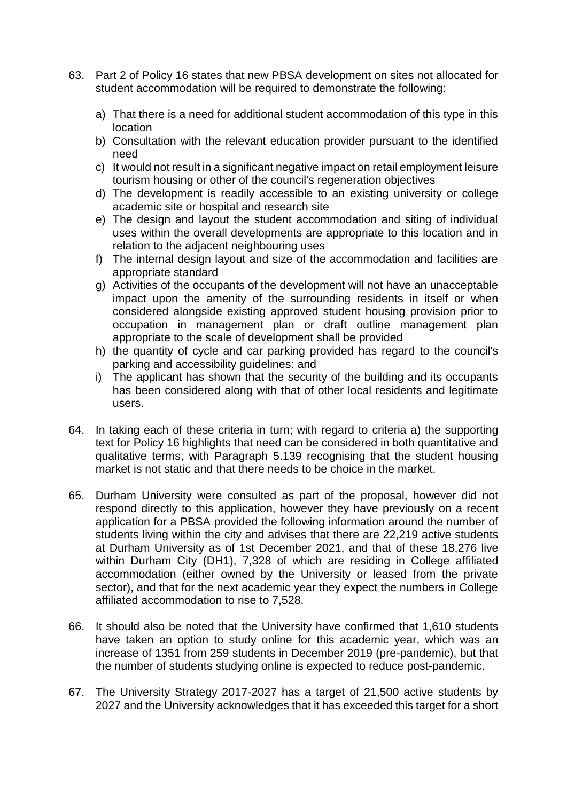- 63. Part 2 of Policy 16 states that new PBSA development on sites not allocated for student accommodation will be required to demonstrate the following:
	- a) That there is a need for additional student accommodation of this type in this location
	- b) Consultation with the relevant education provider pursuant to the identified need
	- c) It would not result in a significant negative impact on retail employment leisure tourism housing or other of the council's regeneration objectives
	- d) The development is readily accessible to an existing university or college academic site or hospital and research site
	- e) The design and layout the student accommodation and siting of individual uses within the overall developments are appropriate to this location and in relation to the adjacent neighbouring uses
	- f) The internal design layout and size of the accommodation and facilities are appropriate standard
	- g) Activities of the occupants of the development will not have an unacceptable impact upon the amenity of the surrounding residents in itself or when considered alongside existing approved student housing provision prior to occupation in management plan or draft outline management plan appropriate to the scale of development shall be provided
	- h) the quantity of cycle and car parking provided has regard to the council's parking and accessibility guidelines: and
	- i) The applicant has shown that the security of the building and its occupants has been considered along with that of other local residents and legitimate users.
- 64. In taking each of these criteria in turn; with regard to criteria a) the supporting text for Policy 16 highlights that need can be considered in both quantitative and qualitative terms, with Paragraph 5.139 recognising that the student housing market is not static and that there needs to be choice in the market.
- 65. Durham University were consulted as part of the proposal, however did not respond directly to this application, however they have previously on a recent application for a PBSA provided the following information around the number of students living within the city and advises that there are 22,219 active students at Durham University as of 1st December 2021, and that of these 18,276 live within Durham City (DH1), 7,328 of which are residing in College affiliated accommodation (either owned by the University or leased from the private sector), and that for the next academic year they expect the numbers in College affiliated accommodation to rise to 7,528.
- 66. It should also be noted that the University have confirmed that 1,610 students have taken an option to study online for this academic year, which was an increase of 1351 from 259 students in December 2019 (pre-pandemic), but that the number of students studying online is expected to reduce post-pandemic.
- 67. The University Strategy 2017-2027 has a target of 21,500 active students by 2027 and the University acknowledges that it has exceeded this target for a short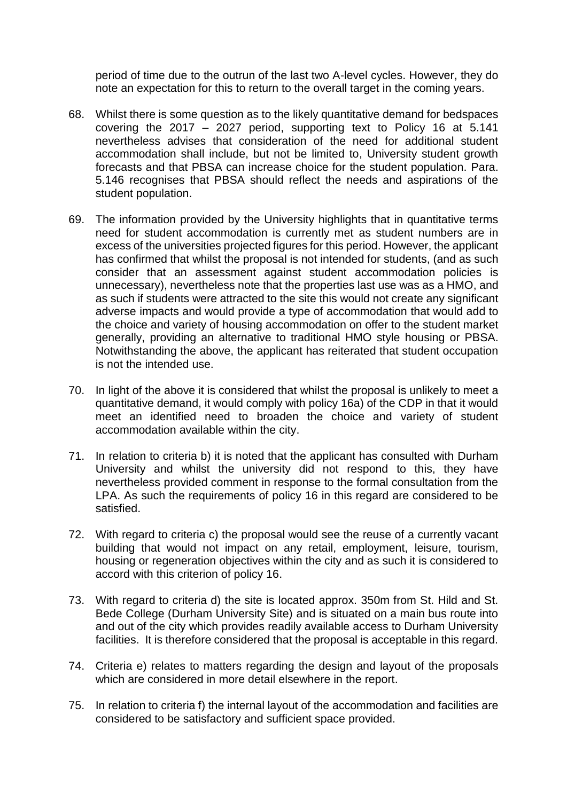period of time due to the outrun of the last two A-level cycles. However, they do note an expectation for this to return to the overall target in the coming years.

- 68. Whilst there is some question as to the likely quantitative demand for bedspaces covering the 2017 – 2027 period, supporting text to Policy 16 at 5.141 nevertheless advises that consideration of the need for additional student accommodation shall include, but not be limited to, University student growth forecasts and that PBSA can increase choice for the student population. Para. 5.146 recognises that PBSA should reflect the needs and aspirations of the student population.
- 69. The information provided by the University highlights that in quantitative terms need for student accommodation is currently met as student numbers are in excess of the universities projected figures for this period. However, the applicant has confirmed that whilst the proposal is not intended for students, (and as such consider that an assessment against student accommodation policies is unnecessary), nevertheless note that the properties last use was as a HMO, and as such if students were attracted to the site this would not create any significant adverse impacts and would provide a type of accommodation that would add to the choice and variety of housing accommodation on offer to the student market generally, providing an alternative to traditional HMO style housing or PBSA. Notwithstanding the above, the applicant has reiterated that student occupation is not the intended use.
- 70. In light of the above it is considered that whilst the proposal is unlikely to meet a quantitative demand, it would comply with policy 16a) of the CDP in that it would meet an identified need to broaden the choice and variety of student accommodation available within the city.
- 71. In relation to criteria b) it is noted that the applicant has consulted with Durham University and whilst the university did not respond to this, they have nevertheless provided comment in response to the formal consultation from the LPA. As such the requirements of policy 16 in this regard are considered to be satisfied.
- 72. With regard to criteria c) the proposal would see the reuse of a currently vacant building that would not impact on any retail, employment, leisure, tourism, housing or regeneration objectives within the city and as such it is considered to accord with this criterion of policy 16.
- 73. With regard to criteria d) the site is located approx. 350m from St. Hild and St. Bede College (Durham University Site) and is situated on a main bus route into and out of the city which provides readily available access to Durham University facilities. It is therefore considered that the proposal is acceptable in this regard.
- 74. Criteria e) relates to matters regarding the design and layout of the proposals which are considered in more detail elsewhere in the report.
- 75. In relation to criteria f) the internal layout of the accommodation and facilities are considered to be satisfactory and sufficient space provided.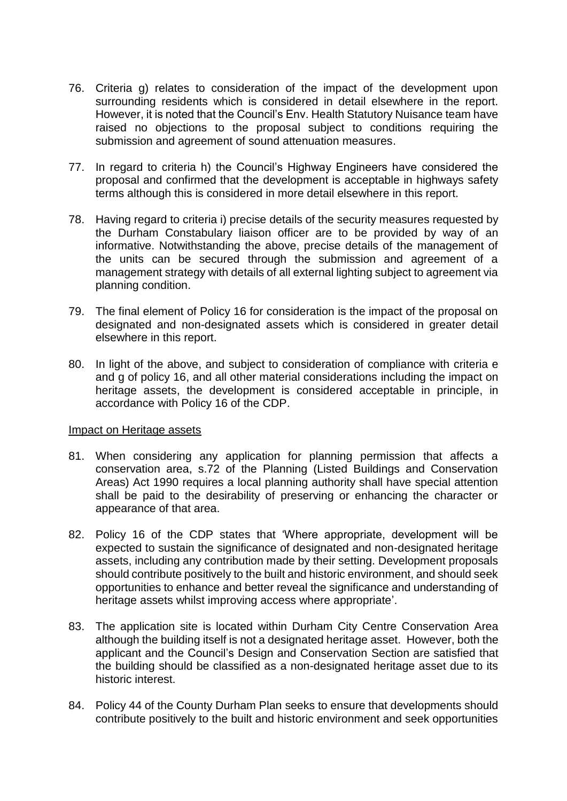- 76. Criteria g) relates to consideration of the impact of the development upon surrounding residents which is considered in detail elsewhere in the report. However, it is noted that the Council's Env. Health Statutory Nuisance team have raised no objections to the proposal subject to conditions requiring the submission and agreement of sound attenuation measures.
- 77. In regard to criteria h) the Council's Highway Engineers have considered the proposal and confirmed that the development is acceptable in highways safety terms although this is considered in more detail elsewhere in this report.
- 78. Having regard to criteria i) precise details of the security measures requested by the Durham Constabulary liaison officer are to be provided by way of an informative. Notwithstanding the above, precise details of the management of the units can be secured through the submission and agreement of a management strategy with details of all external lighting subject to agreement via planning condition.
- 79. The final element of Policy 16 for consideration is the impact of the proposal on designated and non-designated assets which is considered in greater detail elsewhere in this report.
- 80. In light of the above, and subject to consideration of compliance with criteria e and g of policy 16, and all other material considerations including the impact on heritage assets, the development is considered acceptable in principle, in accordance with Policy 16 of the CDP.

#### Impact on Heritage assets

- 81. When considering any application for planning permission that affects a conservation area, s.72 of the Planning (Listed Buildings and Conservation Areas) Act 1990 requires a local planning authority shall have special attention shall be paid to the desirability of preserving or enhancing the character or appearance of that area.
- 82. Policy 16 of the CDP states that 'Where appropriate, development will be expected to sustain the significance of designated and non-designated heritage assets, including any contribution made by their setting. Development proposals should contribute positively to the built and historic environment, and should seek opportunities to enhance and better reveal the significance and understanding of heritage assets whilst improving access where appropriate'.
- 83. The application site is located within Durham City Centre Conservation Area although the building itself is not a designated heritage asset. However, both the applicant and the Council's Design and Conservation Section are satisfied that the building should be classified as a non-designated heritage asset due to its historic interest.
- 84. Policy 44 of the County Durham Plan seeks to ensure that developments should contribute positively to the built and historic environment and seek opportunities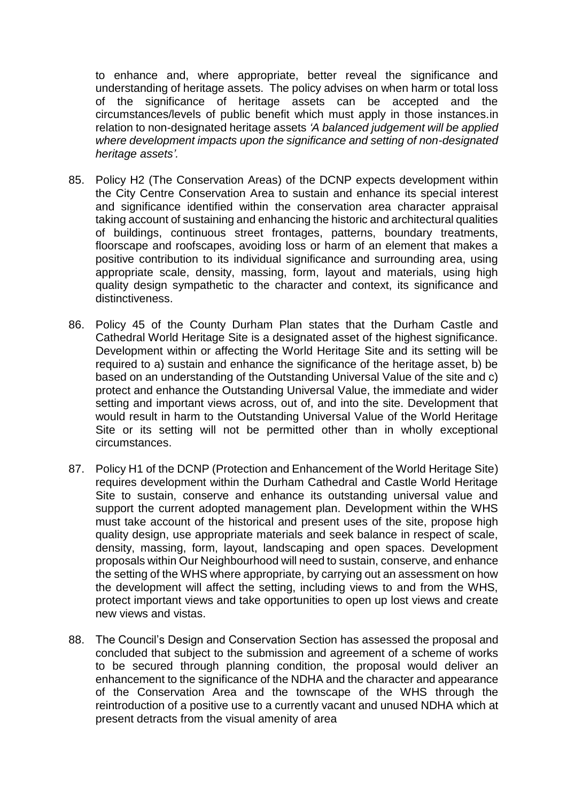to enhance and, where appropriate, better reveal the significance and understanding of heritage assets. The policy advises on when harm or total loss of the significance of heritage assets can be accepted and the circumstances/levels of public benefit which must apply in those instances.in relation to non-designated heritage assets *'A balanced judgement will be applied where development impacts upon the significance and setting of non-designated heritage assets'.*

- 85. Policy H2 (The Conservation Areas) of the DCNP expects development within the City Centre Conservation Area to sustain and enhance its special interest and significance identified within the conservation area character appraisal taking account of sustaining and enhancing the historic and architectural qualities of buildings, continuous street frontages, patterns, boundary treatments, floorscape and roofscapes, avoiding loss or harm of an element that makes a positive contribution to its individual significance and surrounding area, using appropriate scale, density, massing, form, layout and materials, using high quality design sympathetic to the character and context, its significance and distinctiveness.
- 86. Policy 45 of the County Durham Plan states that the Durham Castle and Cathedral World Heritage Site is a designated asset of the highest significance. Development within or affecting the World Heritage Site and its setting will be required to a) sustain and enhance the significance of the heritage asset, b) be based on an understanding of the Outstanding Universal Value of the site and c) protect and enhance the Outstanding Universal Value, the immediate and wider setting and important views across, out of, and into the site. Development that would result in harm to the Outstanding Universal Value of the World Heritage Site or its setting will not be permitted other than in wholly exceptional circumstances.
- 87. Policy H1 of the DCNP (Protection and Enhancement of the World Heritage Site) requires development within the Durham Cathedral and Castle World Heritage Site to sustain, conserve and enhance its outstanding universal value and support the current adopted management plan. Development within the WHS must take account of the historical and present uses of the site, propose high quality design, use appropriate materials and seek balance in respect of scale, density, massing, form, layout, landscaping and open spaces. Development proposals within Our Neighbourhood will need to sustain, conserve, and enhance the setting of the WHS where appropriate, by carrying out an assessment on how the development will affect the setting, including views to and from the WHS, protect important views and take opportunities to open up lost views and create new views and vistas.
- 88. The Council's Design and Conservation Section has assessed the proposal and concluded that subject to the submission and agreement of a scheme of works to be secured through planning condition, the proposal would deliver an enhancement to the significance of the NDHA and the character and appearance of the Conservation Area and the townscape of the WHS through the reintroduction of a positive use to a currently vacant and unused NDHA which at present detracts from the visual amenity of area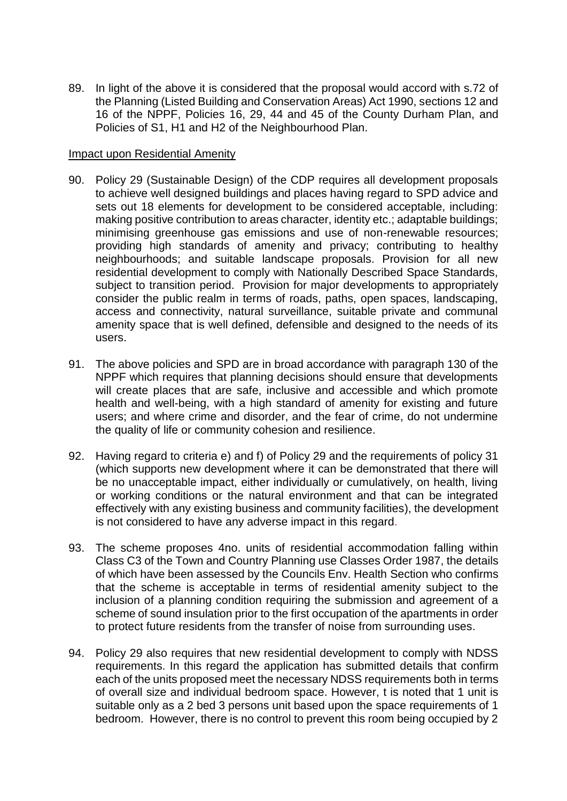89. In light of the above it is considered that the proposal would accord with s.72 of the Planning (Listed Building and Conservation Areas) Act 1990, sections 12 and 16 of the NPPF, Policies 16, 29, 44 and 45 of the County Durham Plan, and Policies of S1, H1 and H2 of the Neighbourhood Plan.

#### Impact upon Residential Amenity

- 90. Policy 29 (Sustainable Design) of the CDP requires all development proposals to achieve well designed buildings and places having regard to SPD advice and sets out 18 elements for development to be considered acceptable, including: making positive contribution to areas character, identity etc.; adaptable buildings; minimising greenhouse gas emissions and use of non-renewable resources; providing high standards of amenity and privacy; contributing to healthy neighbourhoods; and suitable landscape proposals. Provision for all new residential development to comply with Nationally Described Space Standards, subject to transition period. Provision for major developments to appropriately consider the public realm in terms of roads, paths, open spaces, landscaping, access and connectivity, natural surveillance, suitable private and communal amenity space that is well defined, defensible and designed to the needs of its users.
- 91. The above policies and SPD are in broad accordance with paragraph 130 of the NPPF which requires that planning decisions should ensure that developments will create places that are safe, inclusive and accessible and which promote health and well-being, with a high standard of amenity for existing and future users; and where crime and disorder, and the fear of crime, do not undermine the quality of life or community cohesion and resilience.
- 92. Having regard to criteria e) and f) of Policy 29 and the requirements of policy 31 (which supports new development where it can be demonstrated that there will be no unacceptable impact, either individually or cumulatively, on health, living or working conditions or the natural environment and that can be integrated effectively with any existing business and community facilities), the development is not considered to have any adverse impact in this regard.
- 93. The scheme proposes 4no. units of residential accommodation falling within Class C3 of the Town and Country Planning use Classes Order 1987, the details of which have been assessed by the Councils Env. Health Section who confirms that the scheme is acceptable in terms of residential amenity subject to the inclusion of a planning condition requiring the submission and agreement of a scheme of sound insulation prior to the first occupation of the apartments in order to protect future residents from the transfer of noise from surrounding uses.
- 94. Policy 29 also requires that new residential development to comply with NDSS requirements. In this regard the application has submitted details that confirm each of the units proposed meet the necessary NDSS requirements both in terms of overall size and individual bedroom space. However, t is noted that 1 unit is suitable only as a 2 bed 3 persons unit based upon the space requirements of 1 bedroom. However, there is no control to prevent this room being occupied by 2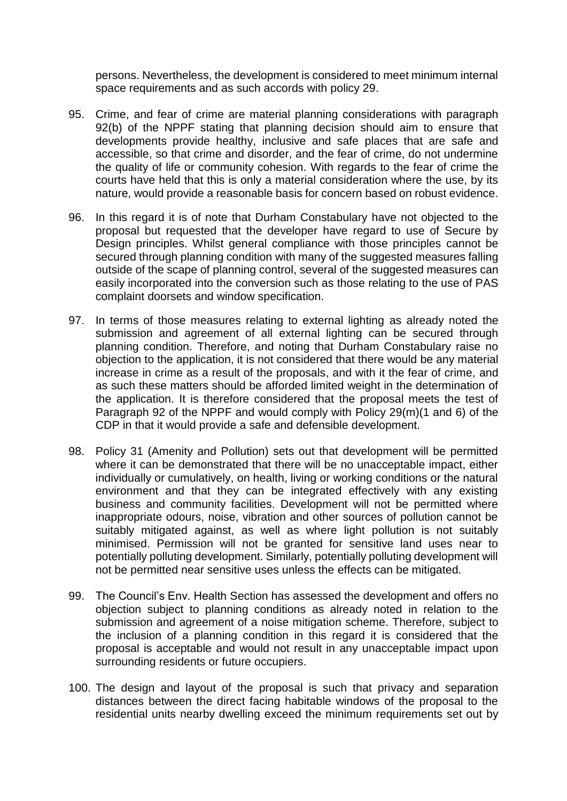persons. Nevertheless, the development is considered to meet minimum internal space requirements and as such accords with policy 29.

- 95. Crime, and fear of crime are material planning considerations with paragraph 92(b) of the NPPF stating that planning decision should aim to ensure that developments provide healthy, inclusive and safe places that are safe and accessible, so that crime and disorder, and the fear of crime, do not undermine the quality of life or community cohesion. With regards to the fear of crime the courts have held that this is only a material consideration where the use, by its nature, would provide a reasonable basis for concern based on robust evidence.
- 96. In this regard it is of note that Durham Constabulary have not objected to the proposal but requested that the developer have regard to use of Secure by Design principles. Whilst general compliance with those principles cannot be secured through planning condition with many of the suggested measures falling outside of the scape of planning control, several of the suggested measures can easily incorporated into the conversion such as those relating to the use of PAS complaint doorsets and window specification.
- 97. In terms of those measures relating to external lighting as already noted the submission and agreement of all external lighting can be secured through planning condition. Therefore, and noting that Durham Constabulary raise no objection to the application, it is not considered that there would be any material increase in crime as a result of the proposals, and with it the fear of crime, and as such these matters should be afforded limited weight in the determination of the application. It is therefore considered that the proposal meets the test of Paragraph 92 of the NPPF and would comply with Policy 29(m)(1 and 6) of the CDP in that it would provide a safe and defensible development.
- 98. Policy 31 (Amenity and Pollution) sets out that development will be permitted where it can be demonstrated that there will be no unacceptable impact, either individually or cumulatively, on health, living or working conditions or the natural environment and that they can be integrated effectively with any existing business and community facilities. Development will not be permitted where inappropriate odours, noise, vibration and other sources of pollution cannot be suitably mitigated against, as well as where light pollution is not suitably minimised. Permission will not be granted for sensitive land uses near to potentially polluting development. Similarly, potentially polluting development will not be permitted near sensitive uses unless the effects can be mitigated.
- 99. The Council's Env. Health Section has assessed the development and offers no objection subject to planning conditions as already noted in relation to the submission and agreement of a noise mitigation scheme. Therefore, subject to the inclusion of a planning condition in this regard it is considered that the proposal is acceptable and would not result in any unacceptable impact upon surrounding residents or future occupiers.
- 100. The design and layout of the proposal is such that privacy and separation distances between the direct facing habitable windows of the proposal to the residential units nearby dwelling exceed the minimum requirements set out by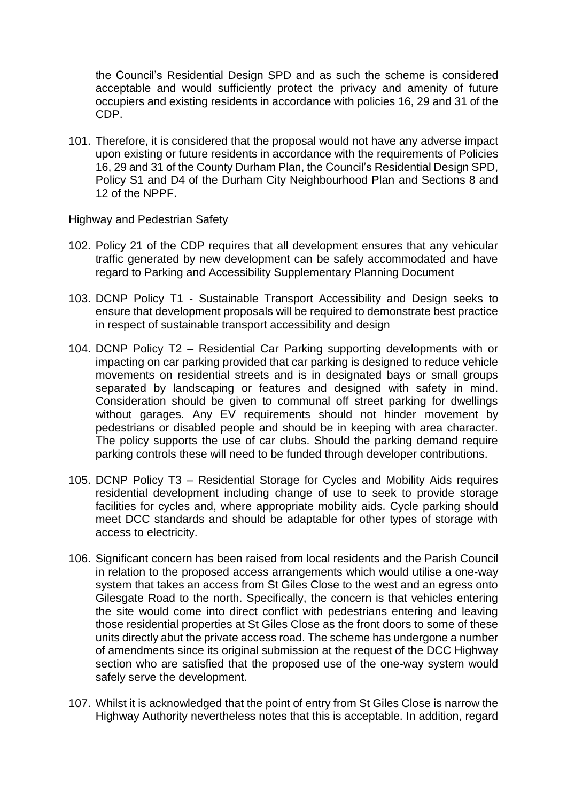the Council's Residential Design SPD and as such the scheme is considered acceptable and would sufficiently protect the privacy and amenity of future occupiers and existing residents in accordance with policies 16, 29 and 31 of the CDP.

101. Therefore, it is considered that the proposal would not have any adverse impact upon existing or future residents in accordance with the requirements of Policies 16, 29 and 31 of the County Durham Plan, the Council's Residential Design SPD, Policy S1 and D4 of the Durham City Neighbourhood Plan and Sections 8 and 12 of the NPPF.

#### Highway and Pedestrian Safety

- 102. Policy 21 of the CDP requires that all development ensures that any vehicular traffic generated by new development can be safely accommodated and have regard to Parking and Accessibility Supplementary Planning Document
- 103. DCNP Policy T1 Sustainable Transport Accessibility and Design seeks to ensure that development proposals will be required to demonstrate best practice in respect of sustainable transport accessibility and design
- 104. DCNP Policy T2 Residential Car Parking supporting developments with or impacting on car parking provided that car parking is designed to reduce vehicle movements on residential streets and is in designated bays or small groups separated by landscaping or features and designed with safety in mind. Consideration should be given to communal off street parking for dwellings without garages. Any EV requirements should not hinder movement by pedestrians or disabled people and should be in keeping with area character. The policy supports the use of car clubs. Should the parking demand require parking controls these will need to be funded through developer contributions.
- 105. DCNP Policy T3 Residential Storage for Cycles and Mobility Aids requires residential development including change of use to seek to provide storage facilities for cycles and, where appropriate mobility aids. Cycle parking should meet DCC standards and should be adaptable for other types of storage with access to electricity.
- 106. Significant concern has been raised from local residents and the Parish Council in relation to the proposed access arrangements which would utilise a one-way system that takes an access from St Giles Close to the west and an egress onto Gilesgate Road to the north. Specifically, the concern is that vehicles entering the site would come into direct conflict with pedestrians entering and leaving those residential properties at St Giles Close as the front doors to some of these units directly abut the private access road. The scheme has undergone a number of amendments since its original submission at the request of the DCC Highway section who are satisfied that the proposed use of the one-way system would safely serve the development.
- 107. Whilst it is acknowledged that the point of entry from St Giles Close is narrow the Highway Authority nevertheless notes that this is acceptable. In addition, regard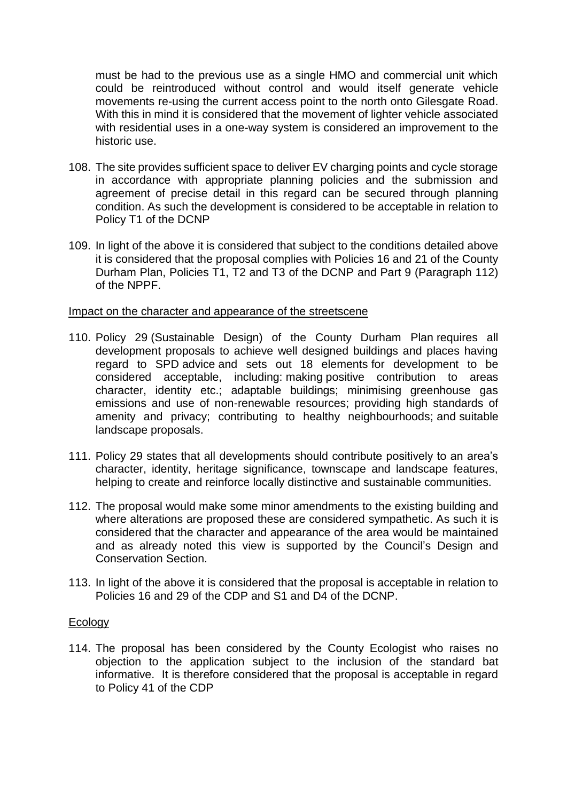must be had to the previous use as a single HMO and commercial unit which could be reintroduced without control and would itself generate vehicle movements re-using the current access point to the north onto Gilesgate Road. With this in mind it is considered that the movement of lighter vehicle associated with residential uses in a one-way system is considered an improvement to the historic use.

- 108. The site provides sufficient space to deliver EV charging points and cycle storage in accordance with appropriate planning policies and the submission and agreement of precise detail in this regard can be secured through planning condition. As such the development is considered to be acceptable in relation to Policy T1 of the DCNP
- 109. In light of the above it is considered that subject to the conditions detailed above it is considered that the proposal complies with Policies 16 and 21 of the County Durham Plan, Policies T1, T2 and T3 of the DCNP and Part 9 (Paragraph 112) of the NPPF.

#### Impact on the character and appearance of the streetscene

- 110. Policy 29 (Sustainable Design) of the County Durham Plan requires all development proposals to achieve well designed buildings and places having regard to SPD advice and sets out 18 elements for development to be considered acceptable, including: making positive contribution to areas character, identity etc.; adaptable buildings; minimising greenhouse gas emissions and use of non-renewable resources; providing high standards of amenity and privacy; contributing to healthy neighbourhoods; and suitable landscape proposals.
- 111. Policy 29 states that all developments should contribute positively to an area's character, identity, heritage significance, townscape and landscape features, helping to create and reinforce locally distinctive and sustainable communities.
- 112. The proposal would make some minor amendments to the existing building and where alterations are proposed these are considered sympathetic. As such it is considered that the character and appearance of the area would be maintained and as already noted this view is supported by the Council's Design and Conservation Section.
- 113. In light of the above it is considered that the proposal is acceptable in relation to Policies 16 and 29 of the CDP and S1 and D4 of the DCNP.

#### **Ecology**

114. The proposal has been considered by the County Ecologist who raises no objection to the application subject to the inclusion of the standard bat informative. It is therefore considered that the proposal is acceptable in regard to Policy 41 of the CDP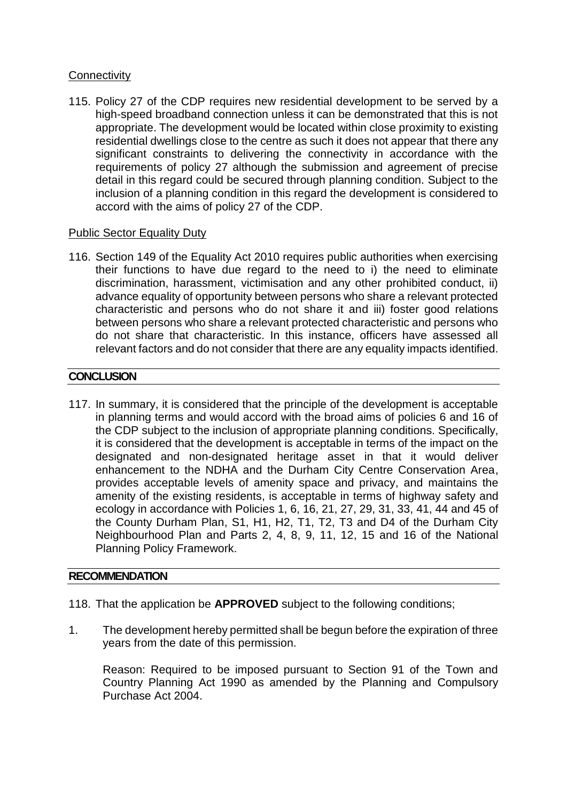# **Connectivity**

115. Policy 27 of the CDP requires new residential development to be served by a high-speed broadband connection unless it can be demonstrated that this is not appropriate. The development would be located within close proximity to existing residential dwellings close to the centre as such it does not appear that there any significant constraints to delivering the connectivity in accordance with the requirements of policy 27 although the submission and agreement of precise detail in this regard could be secured through planning condition. Subject to the inclusion of a planning condition in this regard the development is considered to accord with the aims of policy 27 of the CDP.

# Public Sector Equality Duty

116. Section 149 of the Equality Act 2010 requires public authorities when exercising their functions to have due regard to the need to i) the need to eliminate discrimination, harassment, victimisation and any other prohibited conduct, ii) advance equality of opportunity between persons who share a relevant protected characteristic and persons who do not share it and iii) foster good relations between persons who share a relevant protected characteristic and persons who do not share that characteristic. In this instance, officers have assessed all relevant factors and do not consider that there are any equality impacts identified.

# **CONCLUSION**

117. In summary, it is considered that the principle of the development is acceptable in planning terms and would accord with the broad aims of policies 6 and 16 of the CDP subject to the inclusion of appropriate planning conditions. Specifically, it is considered that the development is acceptable in terms of the impact on the designated and non-designated heritage asset in that it would deliver enhancement to the NDHA and the Durham City Centre Conservation Area, provides acceptable levels of amenity space and privacy, and maintains the amenity of the existing residents, is acceptable in terms of highway safety and ecology in accordance with Policies 1, 6, 16, 21, 27, 29, 31, 33, 41, 44 and 45 of the County Durham Plan, S1, H1, H2, T1, T2, T3 and D4 of the Durham City Neighbourhood Plan and Parts 2, 4, 8, 9, 11, 12, 15 and 16 of the National Planning Policy Framework.

# **RECOMMENDATION**

- 118. That the application be **APPROVED** subject to the following conditions;
- 1. The development hereby permitted shall be begun before the expiration of three years from the date of this permission.

Reason: Required to be imposed pursuant to Section 91 of the Town and Country Planning Act 1990 as amended by the Planning and Compulsory Purchase Act 2004.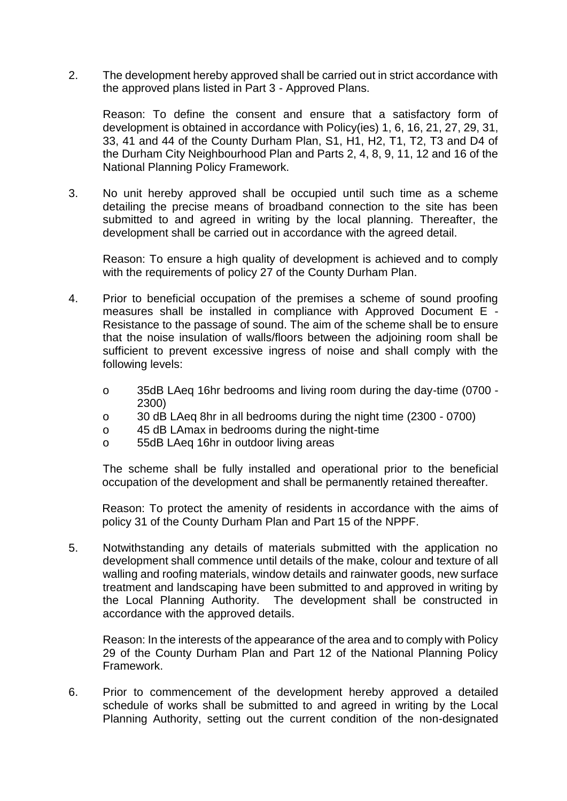2. The development hereby approved shall be carried out in strict accordance with the approved plans listed in Part 3 - Approved Plans.

Reason: To define the consent and ensure that a satisfactory form of development is obtained in accordance with Policy(ies) 1, 6, 16, 21, 27, 29, 31, 33, 41 and 44 of the County Durham Plan, S1, H1, H2, T1, T2, T3 and D4 of the Durham City Neighbourhood Plan and Parts 2, 4, 8, 9, 11, 12 and 16 of the National Planning Policy Framework.

3. No unit hereby approved shall be occupied until such time as a scheme detailing the precise means of broadband connection to the site has been submitted to and agreed in writing by the local planning. Thereafter, the development shall be carried out in accordance with the agreed detail.

Reason: To ensure a high quality of development is achieved and to comply with the requirements of policy 27 of the County Durham Plan.

- 4. Prior to beneficial occupation of the premises a scheme of sound proofing measures shall be installed in compliance with Approved Document E - Resistance to the passage of sound. The aim of the scheme shall be to ensure that the noise insulation of walls/floors between the adjoining room shall be sufficient to prevent excessive ingress of noise and shall comply with the following levels:
	- o 35dB LAeq 16hr bedrooms and living room during the day-time (0700 2300)
	- o 30 dB LAeq 8hr in all bedrooms during the night time (2300 0700)
	- o 45 dB LAmax in bedrooms during the night-time
	- o 55dB LAeq 16hr in outdoor living areas

The scheme shall be fully installed and operational prior to the beneficial occupation of the development and shall be permanently retained thereafter.

Reason: To protect the amenity of residents in accordance with the aims of policy 31 of the County Durham Plan and Part 15 of the NPPF.

5. Notwithstanding any details of materials submitted with the application no development shall commence until details of the make, colour and texture of all walling and roofing materials, window details and rainwater goods, new surface treatment and landscaping have been submitted to and approved in writing by the Local Planning Authority. The development shall be constructed in accordance with the approved details.

Reason: In the interests of the appearance of the area and to comply with Policy 29 of the County Durham Plan and Part 12 of the National Planning Policy Framework.

6. Prior to commencement of the development hereby approved a detailed schedule of works shall be submitted to and agreed in writing by the Local Planning Authority, setting out the current condition of the non-designated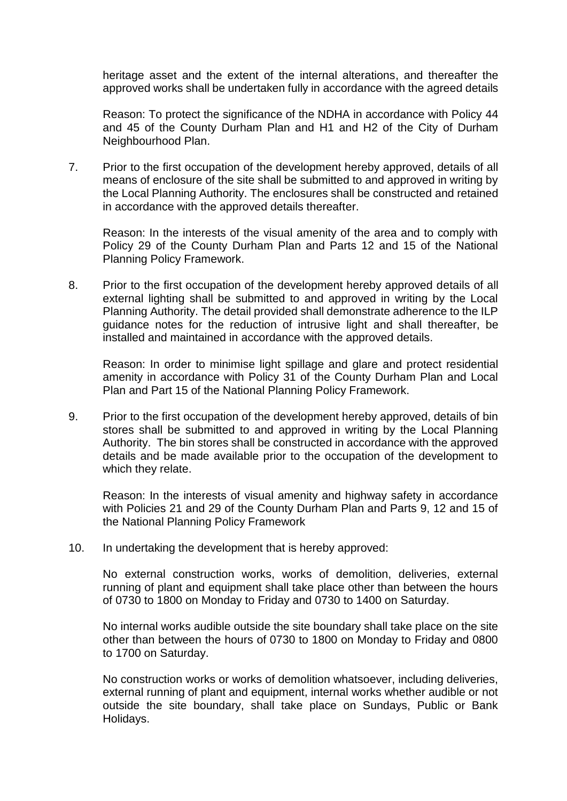heritage asset and the extent of the internal alterations, and thereafter the approved works shall be undertaken fully in accordance with the agreed details

Reason: To protect the significance of the NDHA in accordance with Policy 44 and 45 of the County Durham Plan and H1 and H2 of the City of Durham Neighbourhood Plan.

7. Prior to the first occupation of the development hereby approved, details of all means of enclosure of the site shall be submitted to and approved in writing by the Local Planning Authority. The enclosures shall be constructed and retained in accordance with the approved details thereafter.

Reason: In the interests of the visual amenity of the area and to comply with Policy 29 of the County Durham Plan and Parts 12 and 15 of the National Planning Policy Framework.

8. Prior to the first occupation of the development hereby approved details of all external lighting shall be submitted to and approved in writing by the Local Planning Authority. The detail provided shall demonstrate adherence to the ILP guidance notes for the reduction of intrusive light and shall thereafter, be installed and maintained in accordance with the approved details.

Reason: In order to minimise light spillage and glare and protect residential amenity in accordance with Policy 31 of the County Durham Plan and Local Plan and Part 15 of the National Planning Policy Framework.

9. Prior to the first occupation of the development hereby approved, details of bin stores shall be submitted to and approved in writing by the Local Planning Authority. The bin stores shall be constructed in accordance with the approved details and be made available prior to the occupation of the development to which they relate.

Reason: In the interests of visual amenity and highway safety in accordance with Policies 21 and 29 of the County Durham Plan and Parts 9, 12 and 15 of the National Planning Policy Framework

10. In undertaking the development that is hereby approved:

No external construction works, works of demolition, deliveries, external running of plant and equipment shall take place other than between the hours of 0730 to 1800 on Monday to Friday and 0730 to 1400 on Saturday.

No internal works audible outside the site boundary shall take place on the site other than between the hours of 0730 to 1800 on Monday to Friday and 0800 to 1700 on Saturday.

No construction works or works of demolition whatsoever, including deliveries, external running of plant and equipment, internal works whether audible or not outside the site boundary, shall take place on Sundays, Public or Bank Holidays.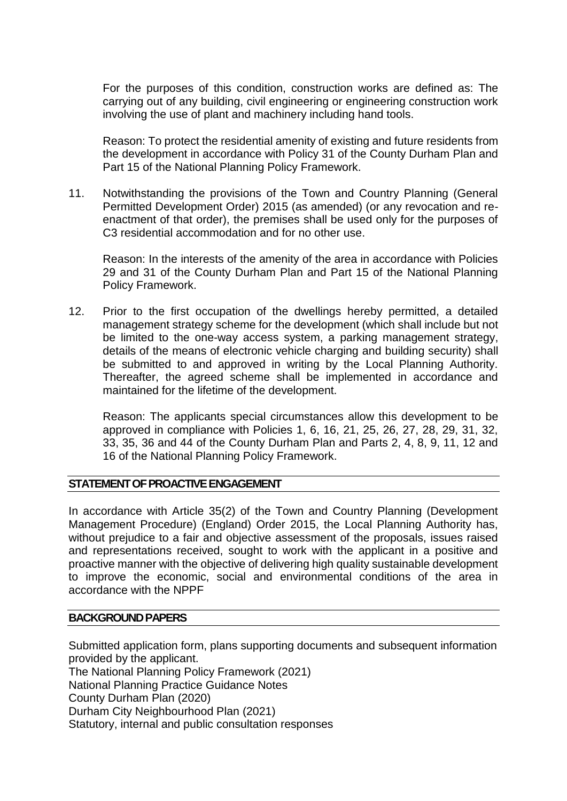For the purposes of this condition, construction works are defined as: The carrying out of any building, civil engineering or engineering construction work involving the use of plant and machinery including hand tools.

Reason: To protect the residential amenity of existing and future residents from the development in accordance with Policy 31 of the County Durham Plan and Part 15 of the National Planning Policy Framework.

11. Notwithstanding the provisions of the Town and Country Planning (General Permitted Development Order) 2015 (as amended) (or any revocation and reenactment of that order), the premises shall be used only for the purposes of C3 residential accommodation and for no other use.

Reason: In the interests of the amenity of the area in accordance with Policies 29 and 31 of the County Durham Plan and Part 15 of the National Planning Policy Framework.

12. Prior to the first occupation of the dwellings hereby permitted, a detailed management strategy scheme for the development (which shall include but not be limited to the one-way access system, a parking management strategy, details of the means of electronic vehicle charging and building security) shall be submitted to and approved in writing by the Local Planning Authority. Thereafter, the agreed scheme shall be implemented in accordance and maintained for the lifetime of the development.

Reason: The applicants special circumstances allow this development to be approved in compliance with Policies 1, 6, 16, 21, 25, 26, 27, 28, 29, 31, 32, 33, 35, 36 and 44 of the County Durham Plan and Parts 2, 4, 8, 9, 11, 12 and 16 of the National Planning Policy Framework.

#### **STATEMENT OF PROACTIVE ENGAGEMENT**

In accordance with Article 35(2) of the Town and Country Planning (Development Management Procedure) (England) Order 2015, the Local Planning Authority has, without prejudice to a fair and objective assessment of the proposals, issues raised and representations received, sought to work with the applicant in a positive and proactive manner with the objective of delivering high quality sustainable development to improve the economic, social and environmental conditions of the area in accordance with the NPPF

#### **BACKGROUND PAPERS**

Submitted application form, plans supporting documents and subsequent information provided by the applicant. The National Planning Policy Framework (2021) National Planning Practice Guidance Notes County Durham Plan (2020) Durham City Neighbourhood Plan (2021) Statutory, internal and public consultation responses